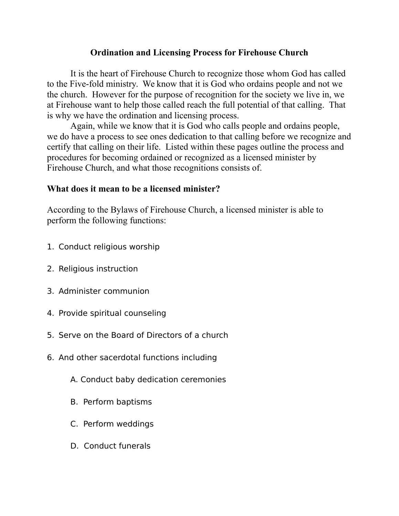## **Ordination and Licensing Process for Firehouse Church**

It is the heart of Firehouse Church to recognize those whom God has called to the Five-fold ministry. We know that it is God who ordains people and not we the church. However for the purpose of recognition for the society we live in, we at Firehouse want to help those called reach the full potential of that calling. That is why we have the ordination and licensing process.

Again, while we know that it is God who calls people and ordains people, we do have a process to see ones dedication to that calling before we recognize and certify that calling on their life. Listed within these pages outline the process and procedures for becoming ordained or recognized as a licensed minister by Firehouse Church, and what those recognitions consists of.

## **What does it mean to be a licensed minister?**

According to the Bylaws of Firehouse Church, a licensed minister is able to perform the following functions:

- 1. Conduct religious worship
- 2. Religious instruction
- 3. Administer communion
- 4. Provide spiritual counseling
- 5. Serve on the Board of Directors of a church
- 6. And other sacerdotal functions including
	- A. Conduct baby dedication ceremonies
	- B. Perform baptisms
	- C. Perform weddings
	- D. Conduct funerals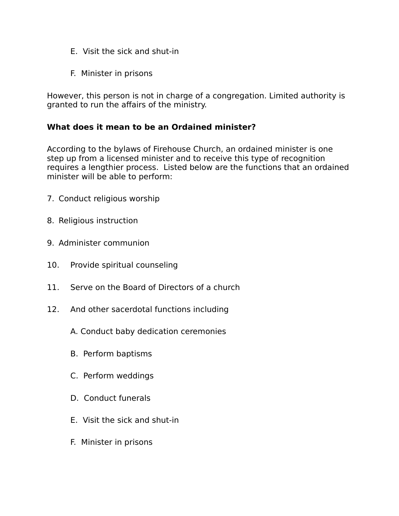- E. Visit the sick and shut-in
- F. Minister in prisons

However, this person is not in charge of a congregation. Limited authority is granted to run the affairs of the ministry.

## **What does it mean to be an Ordained minister?**

According to the bylaws of Firehouse Church, an ordained minister is one step up from a licensed minister and to receive this type of recognition requires a lengthier process. Listed below are the functions that an ordained minister will be able to perform:

- 7. Conduct religious worship
- 8. Religious instruction
- 9. Administer communion
- 10. Provide spiritual counseling
- 11. Serve on the Board of Directors of a church
- 12. And other sacerdotal functions including
	- A. Conduct baby dedication ceremonies
	- B. Perform baptisms
	- C. Perform weddings
	- D. Conduct funerals
	- E. Visit the sick and shut-in
	- F. Minister in prisons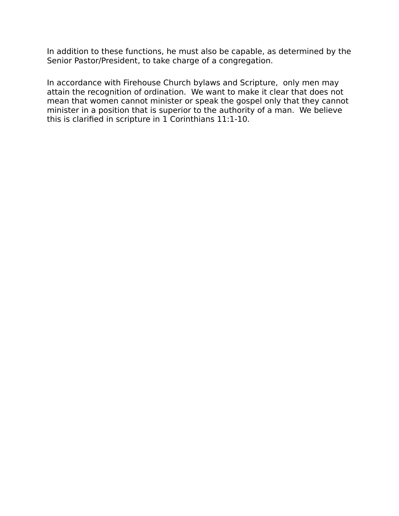In addition to these functions, he must also be capable, as determined by the Senior Pastor/President, to take charge of a congregation.

In accordance with Firehouse Church bylaws and Scripture, only men may attain the recognition of ordination. We want to make it clear that does not mean that women cannot minister or speak the gospel only that they cannot minister in a position that is superior to the authority of a man. We believe this is clarified in scripture in 1 Corinthians 11:1-10.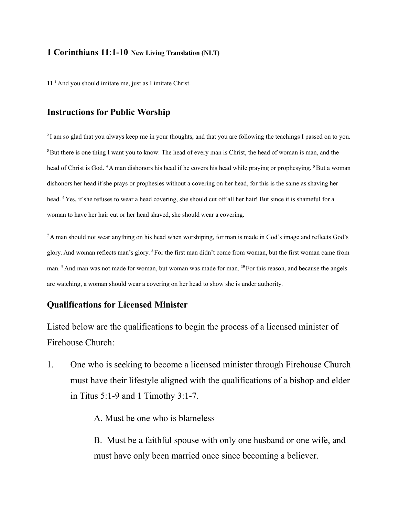#### **1 Corinthians 11:1-10 New Living Translation (NLT)**

**11 <sup>1</sup>**And you should imitate me, just as I imitate Christ.

### **Instructions for Public Worship**

**2** I am so glad that you always keep me in your thoughts, and that you are following the teachings I passed on to you. **<sup>3</sup>**But there is one thing I want you to know: The head of every man is Christ, the head of woman is man, and the head of Christ is God. **<sup>4</sup>**A man dishonors his head if he covers his head while praying or prophesying. **<sup>5</sup>**But a woman dishonors her head if she prays or prophesies without a covering on her head, for this is the same as shaving her head. <sup>6</sup> Yes, if she refuses to wear a head covering, she should cut off all her hair! But since it is shameful for a woman to have her hair cut or her head shaved, she should wear a covering.

**<sup>7</sup>** A man should not wear anything on his head when worshiping, for man is made in God's image and reflects God's glory. And woman reflects man's glory. **<sup>8</sup>**For the first man didn't come from woman, but the first woman came from man. **<sup>9</sup>** And man was not made for woman, but woman was made for man. **<sup>10</sup>**For this reason, and because the angels are watching, a woman should wear a covering on her head to show she is under authority.

#### **Qualifications for Licensed Minister**

Listed below are the qualifications to begin the process of a licensed minister of Firehouse Church:

1. One who is seeking to become a licensed minister through Firehouse Church must have their lifestyle aligned with the qualifications of a bishop and elder in Titus 5:1-9 and 1 Timothy 3:1-7.

A. Must be one who is blameless

B. Must be a faithful spouse with only one husband or one wife, and must have only been married once since becoming a believer.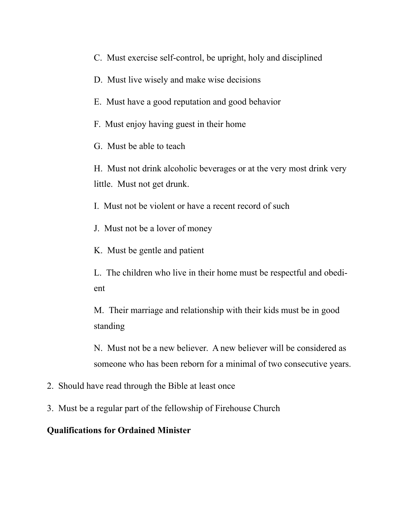- C. Must exercise self-control, be upright, holy and disciplined
- D. Must live wisely and make wise decisions
- E. Must have a good reputation and good behavior
- F. Must enjoy having guest in their home
- G. Must be able to teach

H. Must not drink alcoholic beverages or at the very most drink very little. Must not get drunk.

- I. Must not be violent or have a recent record of such
- J. Must not be a lover of money
- K. Must be gentle and patient
- L. The children who live in their home must be respectful and obedient

M. Their marriage and relationship with their kids must be in good standing

N. Must not be a new believer. A new believer will be considered as someone who has been reborn for a minimal of two consecutive years.

- 2. Should have read through the Bible at least once
- 3. Must be a regular part of the fellowship of Firehouse Church

### **Qualifications for Ordained Minister**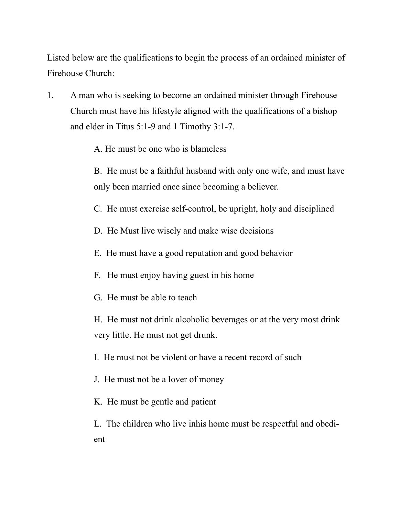Listed below are the qualifications to begin the process of an ordained minister of Firehouse Church:

1. A man who is seeking to become an ordained minister through Firehouse Church must have his lifestyle aligned with the qualifications of a bishop and elder in Titus 5:1-9 and 1 Timothy 3:1-7.

A. He must be one who is blameless

B. He must be a faithful husband with only one wife, and must have only been married once since becoming a believer.

C. He must exercise self-control, be upright, holy and disciplined

- D. He Must live wisely and make wise decisions
- E. He must have a good reputation and good behavior
- F. He must enjoy having guest in his home
- G. He must be able to teach

H. He must not drink alcoholic beverages or at the very most drink very little. He must not get drunk.

I. He must not be violent or have a recent record of such

J. He must not be a lover of money

K. He must be gentle and patient

L. The children who live inhis home must be respectful and obedient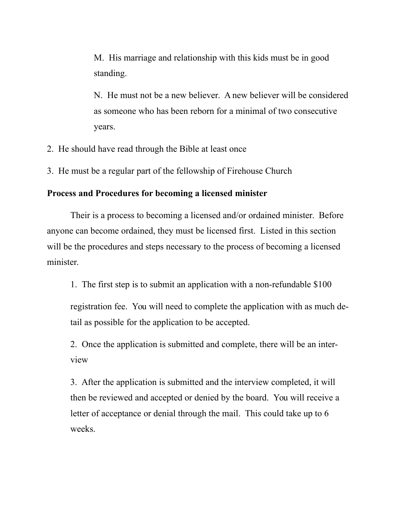M. His marriage and relationship with this kids must be in good standing.

N. He must not be a new believer. A new believer will be considered as someone who has been reborn for a minimal of two consecutive years.

- 2. He should have read through the Bible at least once
- 3. He must be a regular part of the fellowship of Firehouse Church

#### **Process and Procedures for becoming a licensed minister**

Their is a process to becoming a licensed and/or ordained minister. Before anyone can become ordained, they must be licensed first. Listed in this section will be the procedures and steps necessary to the process of becoming a licensed minister.

1. The first step is to submit an application with a non-refundable \$100

registration fee. You will need to complete the application with as much detail as possible for the application to be accepted.

2. Once the application is submitted and complete, there will be an interview

3. After the application is submitted and the interview completed, it will then be reviewed and accepted or denied by the board. You will receive a letter of acceptance or denial through the mail. This could take up to 6 weeks.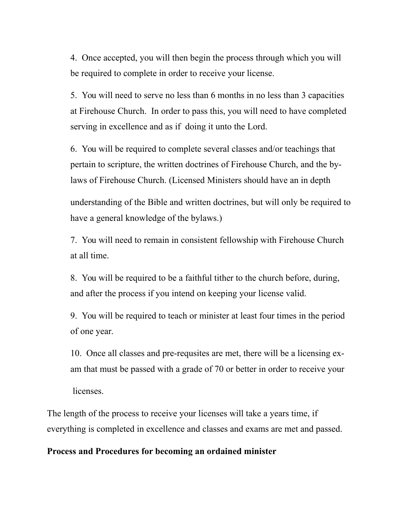4. Once accepted, you will then begin the process through which you will be required to complete in order to receive your license.

5. You will need to serve no less than 6 months in no less than 3 capacities at Firehouse Church. In order to pass this, you will need to have completed serving in excellence and as if doing it unto the Lord.

6. You will be required to complete several classes and/or teachings that pertain to scripture, the written doctrines of Firehouse Church, and the bylaws of Firehouse Church. (Licensed Ministers should have an in depth

understanding of the Bible and written doctrines, but will only be required to have a general knowledge of the bylaws.)

7. You will need to remain in consistent fellowship with Firehouse Church at all time.

8. You will be required to be a faithful tither to the church before, during, and after the process if you intend on keeping your license valid.

9. You will be required to teach or minister at least four times in the period of one year.

10. Once all classes and pre-requsites are met, there will be a licensing exam that must be passed with a grade of 70 or better in order to receive your

licenses.

The length of the process to receive your licenses will take a years time, if everything is completed in excellence and classes and exams are met and passed.

### **Process and Procedures for becoming an ordained minister**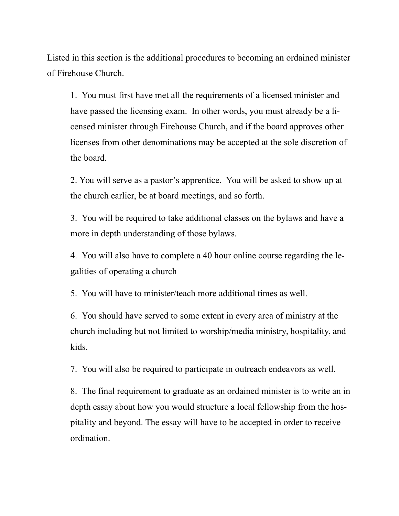Listed in this section is the additional procedures to becoming an ordained minister of Firehouse Church.

1. You must first have met all the requirements of a licensed minister and have passed the licensing exam. In other words, you must already be a licensed minister through Firehouse Church, and if the board approves other licenses from other denominations may be accepted at the sole discretion of the board.

2. You will serve as a pastor's apprentice. You will be asked to show up at the church earlier, be at board meetings, and so forth.

3. You will be required to take additional classes on the bylaws and have a more in depth understanding of those bylaws.

4. You will also have to complete a 40 hour online course regarding the legalities of operating a church

5. You will have to minister/teach more additional times as well.

6. You should have served to some extent in every area of ministry at the church including but not limited to worship/media ministry, hospitality, and kids.

7. You will also be required to participate in outreach endeavors as well.

8. The final requirement to graduate as an ordained minister is to write an in depth essay about how you would structure a local fellowship from the hospitality and beyond. The essay will have to be accepted in order to receive ordination.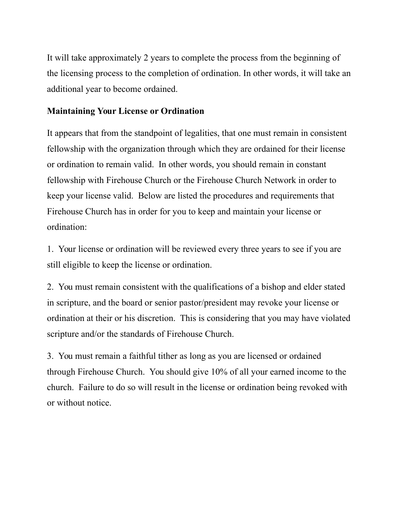It will take approximately 2 years to complete the process from the beginning of the licensing process to the completion of ordination. In other words, it will take an additional year to become ordained.

# **Maintaining Your License or Ordination**

It appears that from the standpoint of legalities, that one must remain in consistent fellowship with the organization through which they are ordained for their license or ordination to remain valid. In other words, you should remain in constant fellowship with Firehouse Church or the Firehouse Church Network in order to keep your license valid. Below are listed the procedures and requirements that Firehouse Church has in order for you to keep and maintain your license or ordination:

1. Your license or ordination will be reviewed every three years to see if you are still eligible to keep the license or ordination.

2. You must remain consistent with the qualifications of a bishop and elder stated in scripture, and the board or senior pastor/president may revoke your license or ordination at their or his discretion. This is considering that you may have violated scripture and/or the standards of Firehouse Church.

3. You must remain a faithful tither as long as you are licensed or ordained through Firehouse Church. You should give 10% of all your earned income to the church. Failure to do so will result in the license or ordination being revoked with or without notice.